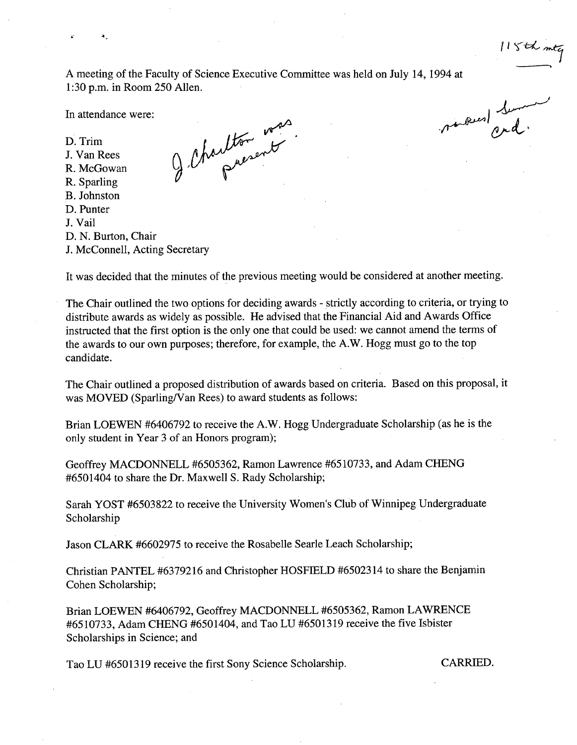$115th$  mtg

A meeting of the Faculty of Science Executive Committee was held on July 14, 1994 at 1:30 p.m. in Room *250* Allen.

J Charlton was

In attendance were:

 $\ddot{ }$ 

D. Trim J. Van Rees R. McGowan R. Sparling B. Johnston

- D. Punter
- J. Vail
- D. N. Burton, Chair
- J. McConnell, Acting Secretary

moved Summer

It was decided that the minutes of the previous meeting would be considered at another meeting.

The Chair outlined the two options for deciding awards - strictly according to criteria, or trying to distribute awards as widely as possible. He advised that the Financial Aid and Awards Office instructed that the first option is the only one that could be used: we cannot amend the terms of the awards to our own purposes; therefore, for example, the A.W. Hogg must go to the top candidate.

The Chair outlined a proposed distribution of awards based on criteria. Based on this proposal, it was MOVED (Sparling/Van Rees) to award students as follows:

Brian LOEWEN #6406792 to receive the A.W. Hogg Undergraduate Scholarship (as he is the only student in Year 3 of an Honors program);

Geoffrey MACDONNELL *#6505362,* Ramon Lawrence #6510733, and Adam CHENG #6501404 to share the Dr. Maxwell S. Rady Scholarship;

Sarah YOST #6503822 to receive the University Women's Club of Winnipeg Undergraduate Scholarship

Jason CLARK #6602975 to receive the Rosabelle Searle Leach Scholarship;

Christian PANTEL #63792 16 and Christopher HOSFIELD #6502314 to share the Benjamin Cohen Scholarship;

Brian LOEWEN #6406792, Geoffrey MACDONNELL #6505362, Ramon LAWRENCE *#65* 10733, Adam CHENG #6501404, and Tao LU #65013 19 receive the five Isbister Scholarships in Science; and

Tao LU #6501319 receive the first Sony Science Scholarship. CARRIED.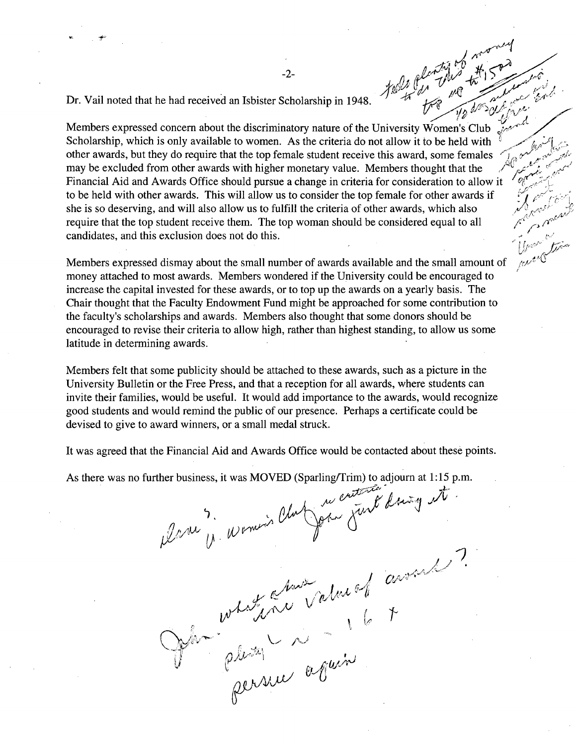.4-

Dr. Vail noted that he had received an Isbister Scholarship in 1948.<br>Members expressed concern about the discriminatory nature of the University Women's Club Scholarship, which is only available to women. As the criteria do not allow it to be held with other awards, but they do require that the top female student receive this award, some females may be excluded from other awards with higher monetary value. Members thought that the Financial Aid and Awards Office should pursue a change in criteria for consideration to allow it to be held with other awards. This will allow us to consider the top female for other awards if she is so deserving, and will also allow us to fulfill the criteria of other awards, which also require that the top student receive them. The top woman should be considered equal to all candidates, and this exclusion does not do this.

Members expressed dismay about the small number of awards available and the small amount of money attached to most awards. Members wondered if the University could be encouraged to increase the capital invested for these awards, or to top up the awards on a yearly basis. The Chair thought that the Faculty Endowment Fund might be approached for some contribution to the faculty?s scholarships and awards. Members also thought that some donors should be encouraged to revise their criteria to allow high, rather than highest standing, to allow us some latitude in determining awards.

Members felt that some publicity should be attached to these awards, such as a picture in the University Bulletin or the Free Press, and that a reception for all awards, where students can invite their families, would be useful. It would add importance to the awards, would recognize good students and would remind the public of our presence. Perhaps a certificate could be devised to give to award winners, or a small medal struck.

It was agreed that the Financial Aid and Awards Office would be contacted about these points.

As there was no further business, it was MOVED (Sparling/Trim) to adjourn at 1:15 p.m.

de 11 Nomin C *2*   $\mathscr{O}\!\!\mathscr{A}$ 

بر<br>,<br>, , , , ,  $\mathcal{N}$